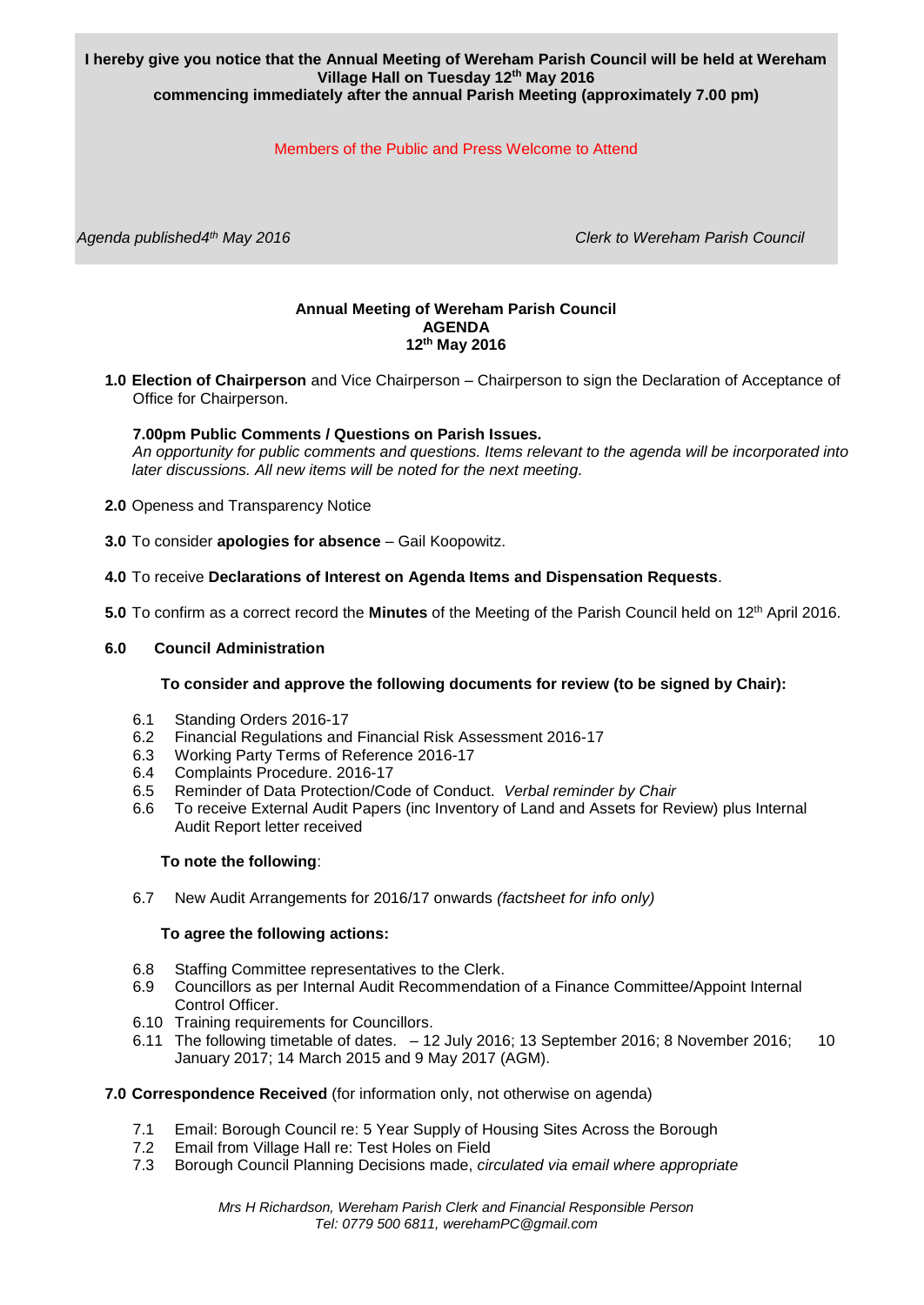## **I hereby give you notice that the Annual Meeting of Wereham Parish Council will be held at Wereham Village Hall on Tuesday 12th May 2016 commencing immediately after the annual Parish Meeting (approximately 7.00 pm)**

# Members of the Public and Press Welcome to Attend

*Agenda published4th May 2016 Clerk to Wereham Parish Council*

#### **Annual Meeting of Wereham Parish Council AGENDA 12th May 2016**

**1.0 Election of Chairperson** and Vice Chairperson – Chairperson to sign the Declaration of Acceptance of Office for Chairperson.

## **7.00pm Public Comments / Questions on Parish Issues.**

*An opportunity for public comments and questions. Items relevant to the agenda will be incorporated into later discussions. All new items will be noted for the next meeting.*

- **2.0** Openess and Transparency Notice
- **3.0** To consider **apologies for absence** Gail Koopowitz.
- **4.0** To receive **Declarations of Interest on Agenda Items and Dispensation Requests**.
- **5.0** To confirm as a correct record the **Minutes** of the Meeting of the Parish Council held on 12th April 2016.

#### **6.0 Council Administration**

#### **To consider and approve the following documents for review (to be signed by Chair):**

- 6.1 Standing Orders 2016-17
- 6.2 Financial Regulations and Financial Risk Assessment 2016-17
- 6.3 Working Party Terms of Reference 2016-17
- 6.4 Complaints Procedure. 2016-17
- 6.5 Reminder of Data Protection/Code of Conduct. *Verbal reminder by Chair*
- 6.6 To receive External Audit Papers (inc Inventory of Land and Assets for Review) plus Internal Audit Report letter received

#### **To note the following**:

6.7 New Audit Arrangements for 2016/17 onwards *(factsheet for info only)*

#### **To agree the following actions:**

- 6.8 Staffing Committee representatives to the Clerk.
- 6.9 Councillors as per Internal Audit Recommendation of a Finance Committee/Appoint Internal Control Officer.
- 6.10 Training requirements for Councillors.
- 6.11 The following timetable of dates. 12 July 2016; 13 September 2016; 8 November 2016; 10 January 2017; 14 March 2015 and 9 May 2017 (AGM).

## **7.0 Correspondence Received** (for information only, not otherwise on agenda)

- 7.1 Email: Borough Council re: 5 Year Supply of Housing Sites Across the Borough
- 7.2 Email from Village Hall re: Test Holes on Field
- 7.3 Borough Council Planning Decisions made, *circulated via email where appropriate*